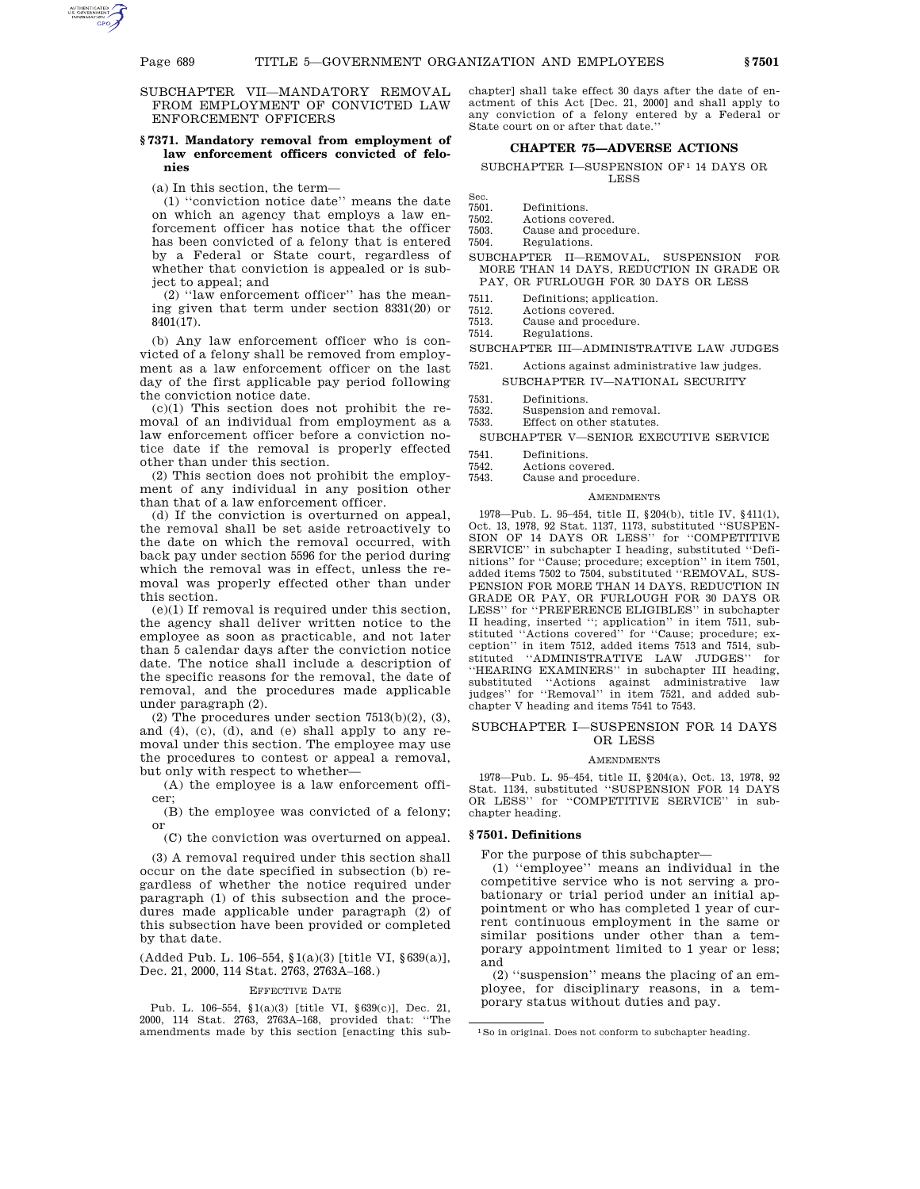SUBCHAPTER VII—MANDATORY REMOVAL FROM EMPLOYMENT OF CONVICTED LAW ENFORCEMENT OFFICERS

## **§ 7371. Mandatory removal from employment of law enforcement officers convicted of felonies**

(a) In this section, the term—

(1) ''conviction notice date'' means the date on which an agency that employs a law enforcement officer has notice that the officer has been convicted of a felony that is entered by a Federal or State court, regardless of whether that conviction is appealed or is subject to appeal; and

(2) ''law enforcement officer'' has the meaning given that term under section 8331(20) or 8401(17).

(b) Any law enforcement officer who is convicted of a felony shall be removed from employment as a law enforcement officer on the last day of the first applicable pay period following the conviction notice date.

(c)(1) This section does not prohibit the removal of an individual from employment as a law enforcement officer before a conviction notice date if the removal is properly effected other than under this section.

(2) This section does not prohibit the employment of any individual in any position other than that of a law enforcement officer.

(d) If the conviction is overturned on appeal, the removal shall be set aside retroactively to the date on which the removal occurred, with back pay under section 5596 for the period during which the removal was in effect, unless the removal was properly effected other than under this section.

(e)(1) If removal is required under this section, the agency shall deliver written notice to the employee as soon as practicable, and not later than 5 calendar days after the conviction notice date. The notice shall include a description of the specific reasons for the removal, the date of removal, and the procedures made applicable under paragraph (2).

(2) The procedures under section  $7513(b)(2)$ , (3), and (4), (c), (d), and (e) shall apply to any removal under this section. The employee may use the procedures to contest or appeal a removal, but only with respect to whether—

(A) the employee is a law enforcement officer;

(B) the employee was convicted of a felony; or

(C) the conviction was overturned on appeal.

(3) A removal required under this section shall occur on the date specified in subsection (b) regardless of whether the notice required under paragraph (1) of this subsection and the procedures made applicable under paragraph (2) of this subsection have been provided or completed by that date.

(Added Pub. L. 106–554, §1(a)(3) [title VI, §639(a)], Dec. 21, 2000, 114 Stat. 2763, 2763A–168.)

#### EFFECTIVE DATE

Pub. L. 106–554, §1(a)(3) [title VI, §639(c)], Dec. 21, 2000, 114 Stat. 2763, 2763A–168, provided that: ''The amendments made by this section [enacting this subchapter] shall take effect 30 days after the date of enactment of this Act [Dec. 21, 2000] and shall apply to any conviction of a felony entered by a Federal or State court on or after that date.''

# **CHAPTER 75—ADVERSE ACTIONS**

SUBCHAPTER I—SUSPENSION OF 1 14 DAYS OR LESS

- Sec.<br>7501
- 7501. Definitions.<br>7502. Actions cov
- 7502. Actions covered.<br>7503. Cause and proced
- 7503. Cause and procedure.<br>7504. Regulations. Regulations.
- SUBCHAPTER II—REMOVAL, SUSPENSION FOR
- MORE THAN 14 DAYS, REDUCTION IN GRADE OR PAY, OR FURLOUGH FOR 30 DAYS OR LESS
- 7511. Definitions; application.<br>7512 Actions covered
- 7512. Actions covered.
- 7513. Cause and procedure.<br>7514. Regulations.
- Regulations.
- SUBCHAPTER III—ADMINISTRATIVE LAW JUDGES
- 7521. Actions against administrative law judges. SUBCHAPTER IV—NATIONAL SECURITY
- 
- 7531. Definitions.<br>7532. Suspension Suspension and removal.
- 7533. Effect on other statutes.

SUBCHAPTER V—SENIOR EXECUTIVE SERVICE

- 
- 7541. Definitions.<br>7542. Actions cov
- 7542. Actions covered. Cause and procedure.

### **AMENDMENTS**

1978—Pub. L. 95–454, title II, §204(b), title IV, §411(1), Oct. 13, 1978, 92 Stat. 1137, 1173, substituted ''SUSPEN-SION OF 14 DAYS OR LESS'' for ''COMPETITIVE SERVICE'' in subchapter I heading, substituted ''Definitions'' for ''Cause; procedure; exception'' in item 7501, added items 7502 to 7504, substituted ''REMOVAL, SUS-PENSION FOR MORE THAN 14 DAYS, REDUCTION IN GRADE OR PAY, OR FURLOUGH FOR 30 DAYS OR LESS'' for ''PREFERENCE ELIGIBLES'' in subchapter II heading, inserted "; application" in item 7511, substituted "Actions covered" for "Cause; procedure; ex-'Actions covered'' for "Cause; procedure; exception'' in item 7512, added items 7513 and 7514, substituted ''ADMINISTRATIVE LAW JUDGES'' for ''HEARING EXAMINERS'' in subchapter III heading, substituted ''Actions against administrative law judges'' for ''Removal'' in item 7521, and added subchapter V heading and items 7541 to 7543.

## SUBCHAPTER I—SUSPENSION FOR 14 DAYS OR LESS

#### **AMENDMENTS**

1978—Pub. L. 95–454, title II, §204(a), Oct. 13, 1978, 92 Stat. 1134, substituted ''SUSPENSION FOR 14 DAYS OR LESS'' for ''COMPETITIVE SERVICE'' in subchapter heading.

## **§ 7501. Definitions**

For the purpose of this subchapter—

(1) ''employee'' means an individual in the competitive service who is not serving a probationary or trial period under an initial appointment or who has completed 1 year of current continuous employment in the same or similar positions under other than a temporary appointment limited to 1 year or less; and

(2) ''suspension'' means the placing of an employee, for disciplinary reasons, in a temporary status without duties and pay.

<sup>1</sup>So in original. Does not conform to subchapter heading.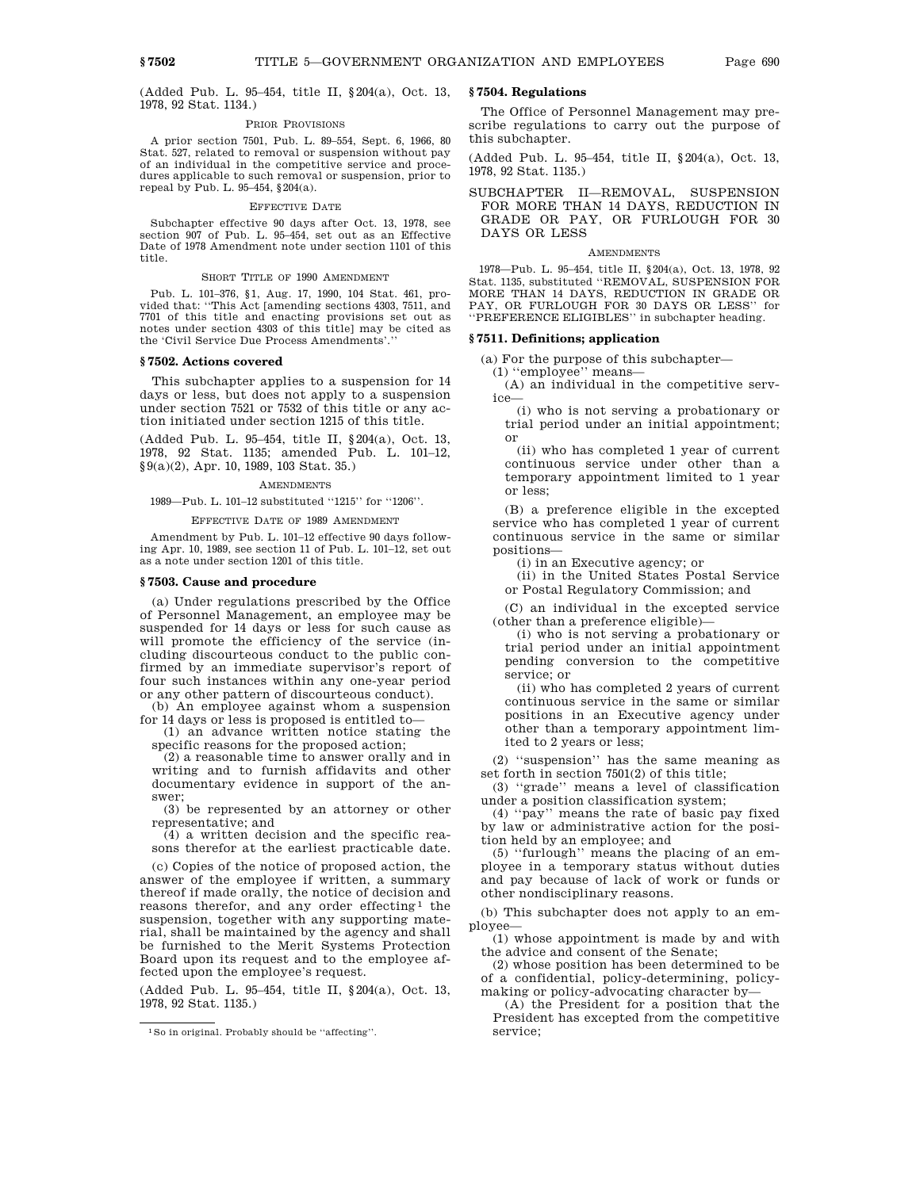(Added Pub. L. 95–454, title II, §204(a), Oct. 13, 1978, 92 Stat. 1134.)

### PRIOR PROVISIONS

A prior section 7501, Pub. L. 89–554, Sept. 6, 1966, 80 Stat. 527, related to removal or suspension without pay of an individual in the competitive service and procedures applicable to such removal or suspension, prior to repeal by Pub. L. 95–454, §204(a).

# EFFECTIVE DATE

Subchapter effective 90 days after Oct. 13, 1978, see section 907 of Pub. L. 95–454, set out as an Effective Date of 1978 Amendment note under section 1101 of this title.

### SHORT TITLE OF 1990 AMENDMENT

Pub. L. 101–376, §1, Aug. 17, 1990, 104 Stat. 461, provided that: ''This Act [amending sections 4303, 7511, and 7701 of this title and enacting provisions set out as notes under section 4303 of this title] may be cited as the 'Civil Service Due Process Amendments'.''

# **§ 7502. Actions covered**

This subchapter applies to a suspension for 14 days or less, but does not apply to a suspension under section 7521 or 7532 of this title or any action initiated under section 1215 of this title.

(Added Pub. L. 95–454, title II, §204(a), Oct. 13, 1978, 92 Stat. 1135; amended Pub. L. 101–12, §9(a)(2), Apr. 10, 1989, 103 Stat. 35.)

### AMENDMENTS

1989—Pub. L. 101–12 substituted ''1215'' for ''1206''.

### EFFECTIVE DATE OF 1989 AMENDMENT

Amendment by Pub. L. 101–12 effective 90 days following Apr. 10, 1989, see section 11 of Pub. L. 101–12, set out as a note under section 1201 of this title.

### **§ 7503. Cause and procedure**

(a) Under regulations prescribed by the Office of Personnel Management, an employee may be suspended for 14 days or less for such cause as will promote the efficiency of the service (including discourteous conduct to the public confirmed by an immediate supervisor's report of four such instances within any one-year period or any other pattern of discourteous conduct).

(b) An employee against whom a suspension for 14 days or less is proposed is entitled to—

(1) an advance written notice stating the specific reasons for the proposed action;

(2) a reasonable time to answer orally and in writing and to furnish affidavits and other documentary evidence in support of the answer;

(3) be represented by an attorney or other representative; and

 $(4)$  a written decision and the specific reasons therefor at the earliest practicable date.

(c) Copies of the notice of proposed action, the answer of the employee if written, a summary thereof if made orally, the notice of decision and reasons therefor, and any order effecting<sup>1</sup> the suspension, together with any supporting material, shall be maintained by the agency and shall be furnished to the Merit Systems Protection Board upon its request and to the employee affected upon the employee's request.

(Added Pub. L. 95–454, title II, §204(a), Oct. 13, 1978, 92 Stat. 1135.)

# **§ 7504. Regulations**

The Office of Personnel Management may prescribe regulations to carry out the purpose of this subchapter.

(Added Pub. L. 95–454, title II, §204(a), Oct. 13, 1978, 92 Stat. 1135.)

SUBCHAPTER II—REMOVAL, SUSPENSION FOR MORE THAN 14 DAYS, REDUCTION IN GRADE OR PAY, OR FURLOUGH FOR 30 DAYS OR LESS

#### **AMENDMENTS**

1978—Pub. L. 95–454, title II, §204(a), Oct. 13, 1978, 92 Stat. 1135, substituted ''REMOVAL, SUSPENSION FOR MORE THAN 14 DAYS, REDUCTION IN GRADE OR PAY, OR FURLOUGH FOR 30 DAYS OR LESS'' for ''PREFERENCE ELIGIBLES'' in subchapter heading.

## **§ 7511. Definitions; application**

(a) For the purpose of this subchapter—

(1) ''employee'' means—

(A) an individual in the competitive service—

(i) who is not serving a probationary or trial period under an initial appointment; or

(ii) who has completed 1 year of current continuous service under other than a temporary appointment limited to 1 year or less;

(B) a preference eligible in the excepted service who has completed 1 year of current continuous service in the same or similar positions—

(i) in an Executive agency; or

(ii) in the United States Postal Service or Postal Regulatory Commission; and

(C) an individual in the excepted service (other than a preference eligible)—

(i) who is not serving a probationary or trial period under an initial appointment pending conversion to the competitive service; or

(ii) who has completed 2 years of current continuous service in the same or similar positions in an Executive agency under other than a temporary appointment limited to 2 years or less;

(2) ''suspension'' has the same meaning as set forth in section 7501(2) of this title;

(3) ''grade'' means a level of classification under a position classification system;

(4) ''pay'' means the rate of basic pay fixed by law or administrative action for the position held by an employee; and

(5) ''furlough'' means the placing of an employee in a temporary status without duties and pay because of lack of work or funds or other nondisciplinary reasons.

(b) This subchapter does not apply to an employee—

(1) whose appointment is made by and with the advice and consent of the Senate;

(2) whose position has been determined to be of a confidential, policy-determining, policymaking or policy-advocating character by—

(A) the President for a position that the President has excepted from the competitive service;

<sup>1</sup>So in original. Probably should be ''affecting''.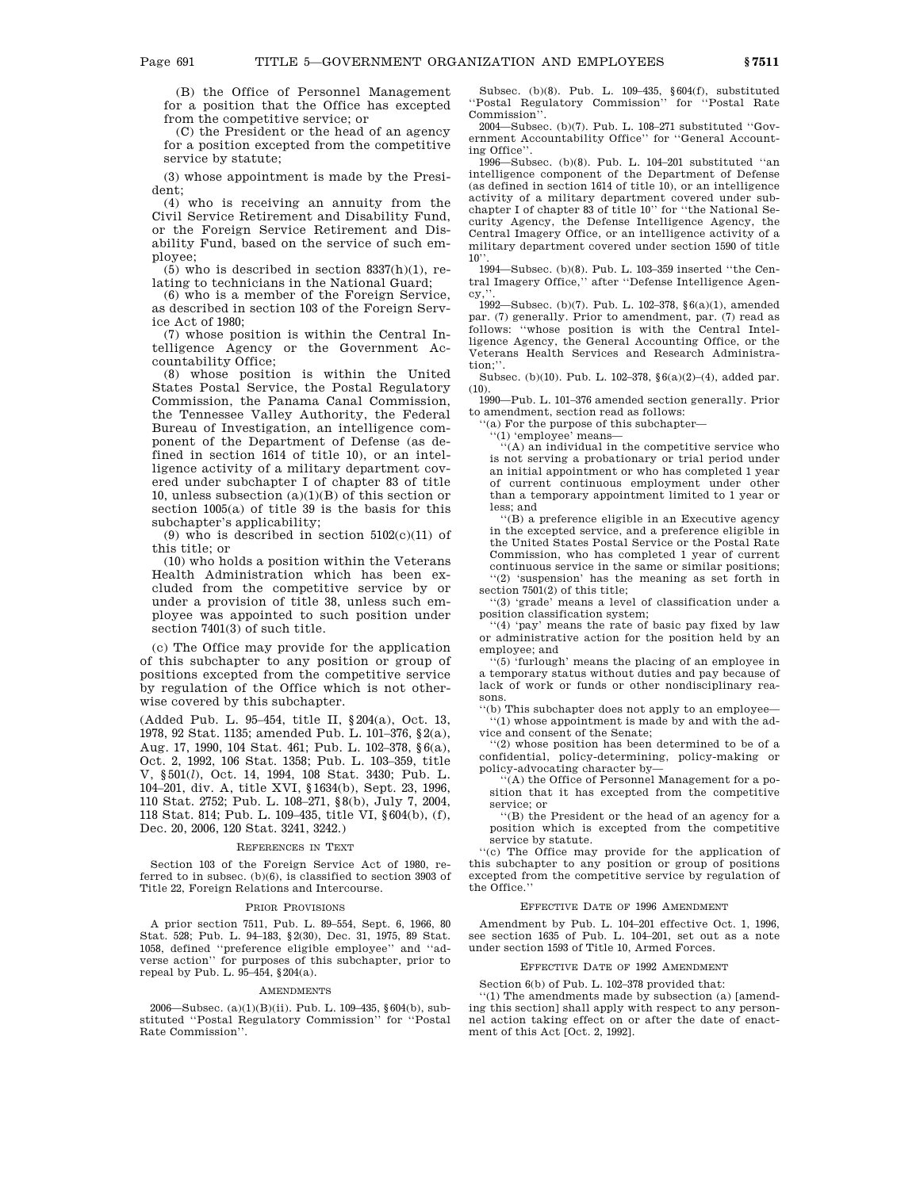(B) the Office of Personnel Management for a position that the Office has excepted from the competitive service; or

(C) the President or the head of an agency for a position excepted from the competitive service by statute;

(3) whose appointment is made by the President;

(4) who is receiving an annuity from the Civil Service Retirement and Disability Fund, or the Foreign Service Retirement and Disability Fund, based on the service of such employee;

 $(5)$  who is described in section 8337 $(h)(1)$ , relating to technicians in the National Guard;

(6) who is a member of the Foreign Service, as described in section 103 of the Foreign Service Act of 1980;

(7) whose position is within the Central Intelligence Agency or the Government Accountability Office;

(8) whose position is within the United States Postal Service, the Postal Regulatory Commission, the Panama Canal Commission, the Tennessee Valley Authority, the Federal Bureau of Investigation, an intelligence component of the Department of Defense (as defined in section 1614 of title 10), or an intelligence activity of a military department covered under subchapter I of chapter 83 of title 10, unless subsection  $(a)(1)(B)$  of this section or section 1005(a) of title 39 is the basis for this subchapter's applicability;

(9) who is described in section  $5102(c)(11)$  of this title; or

(10) who holds a position within the Veterans Health Administration which has been excluded from the competitive service by or under a provision of title 38, unless such employee was appointed to such position under section 7401(3) of such title.

(c) The Office may provide for the application of this subchapter to any position or group of positions excepted from the competitive service by regulation of the Office which is not otherwise covered by this subchapter.

(Added Pub. L. 95–454, title II, §204(a), Oct. 13, 1978, 92 Stat. 1135; amended Pub. L. 101–376, §2(a), Aug. 17, 1990, 104 Stat. 461; Pub. L. 102–378, §6(a), Oct. 2, 1992, 106 Stat. 1358; Pub. L. 103–359, title V, §501(*l*), Oct. 14, 1994, 108 Stat. 3430; Pub. L. 104–201, div. A, title XVI, §1634(b), Sept. 23, 1996, 110 Stat. 2752; Pub. L. 108–271, §8(b), July 7, 2004, 118 Stat. 814; Pub. L. 109–435, title VI, §604(b), (f), Dec. 20, 2006, 120 Stat. 3241, 3242.)

### REFERENCES IN TEXT

Section 103 of the Foreign Service Act of 1980, referred to in subsec. (b)(6), is classified to section 3903 of Title 22, Foreign Relations and Intercourse.

#### PRIOR PROVISIONS

A prior section 7511, Pub. L. 89–554, Sept. 6, 1966, 80 Stat. 528; Pub. L. 94–183, §2(30), Dec. 31, 1975, 89 Stat. 1058, defined ''preference eligible employee'' and ''adverse action'' for purposes of this subchapter, prior to repeal by Pub. L. 95–454, §204(a).

#### **AMENDMENTS**

2006—Subsec. (a)(1)(B)(ii). Pub. L. 109–435, §604(b), substituted ''Postal Regulatory Commission'' for ''Postal Rate Commission''.

Subsec. (b)(8). Pub. L. 109–435, §604(f), substituted ''Postal Regulatory Commission'' for ''Postal Rate Commission''.

2004—Subsec. (b)(7). Pub. L. 108–271 substituted ''Government Accountability Office'' for ''General Accounting Office''.

1996—Subsec. (b)(8). Pub. L. 104–201 substituted ''an intelligence component of the Department of Defense (as defined in section 1614 of title 10), or an intelligence activity of a military department covered under subchapter I of chapter 83 of title 10'' for ''the National Security Agency, the Defense Intelligence Agency, the Central Imagery Office, or an intelligence activity of a military department covered under section 1590 of title  $10$ "

1994—Subsec. (b)(8). Pub. L. 103–359 inserted ''the Central Imagery Office,'' after ''Defense Intelligence Agen $cv$ .

1992—Subsec. (b)(7). Pub. L. 102–378, §6(a)(1), amended par. (7) generally. Prior to amendment, par. (7) read as follows: ''whose position is with the Central Intelligence Agency, the General Accounting Office, or the Veterans Health Services and Research Administration;''.

Subsec. (b)(10). Pub. L. 102–378, §6(a)(2)–(4), added par. (10).

1990—Pub. L. 101–376 amended section generally. Prior to amendment, section read as follows:

'(a) For the purpose of this subchapter-

'(1) 'employee' means-

''(A) an individual in the competitive service who is not serving a probationary or trial period under an initial appointment or who has completed 1 year of current continuous employment under other than a temporary appointment limited to 1 year or less; and

''(B) a preference eligible in an Executive agency in the excepted service, and a preference eligible in the United States Postal Service or the Postal Rate Commission, who has completed 1 year of current continuous service in the same or similar positions; ''(2) 'suspension' has the meaning as set forth in

section 7501(2) of this title; '(3) 'grade' means a level of classification under a

position classification system;

''(4) 'pay' means the rate of basic pay fixed by law or administrative action for the position held by an employee; and

''(5) 'furlough' means the placing of an employee in a temporary status without duties and pay because of lack of work or funds or other nondisciplinary reasons.

''(b) This subchapter does not apply to an employee— ''(1) whose appointment is made by and with the advice and consent of the Senate;

''(2) whose position has been determined to be of a confidential, policy-determining, policy-making or policy-advocating character by—

''(A) the Office of Personnel Management for a position that it has excepted from the competitive service; or

''(B) the President or the head of an agency for a position which is excepted from the competitive service by statute.

''(c) The Office may provide for the application of this subchapter to any position or group of positions excepted from the competitive service by regulation of the Office.''

### EFFECTIVE DATE OF 1996 AMENDMENT

Amendment by Pub. L. 104–201 effective Oct. 1, 1996, see section 1635 of Pub. L. 104–201, set out as a note under section 1593 of Title 10, Armed Forces.

# EFFECTIVE DATE OF 1992 AMENDMENT

Section 6(b) of Pub. L. 102–378 provided that: ''(1) The amendments made by subsection (a) [amend-

ing this section] shall apply with respect to any personnel action taking effect on or after the date of enactment of this Act [Oct. 2, 1992].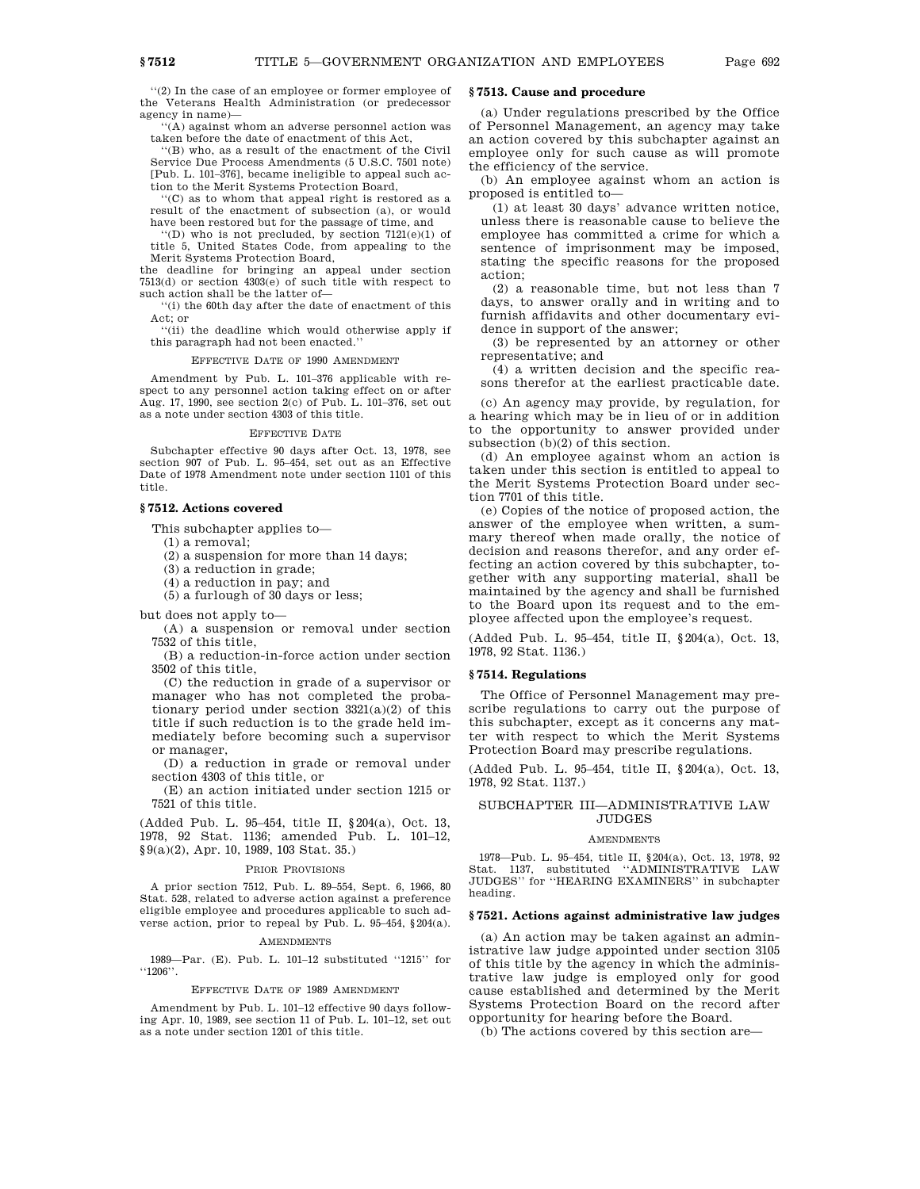''(2) In the case of an employee or former employee of the Veterans Health Administration (or predecessor agency in name)—

''(A) against whom an adverse personnel action was taken before the date of enactment of this Act,

''(B) who, as a result of the enactment of the Civil Service Due Process Amendments (5 U.S.C. 7501 note) [Pub. L. 101–376], became ineligible to appeal such action to the Merit Systems Protection Board,

''(C) as to whom that appeal right is restored as a result of the enactment of subsection (a), or would have been restored but for the passage of time, and

 $''(D)$  who is not precluded, by section  $7121(e)(1)$  of title 5, United States Code, from appealing to the Merit Systems Protection Board,

the deadline for bringing an appeal under section 7513(d) or section 4303(e) of such title with respect to such action shall be the latter of—

''(i) the 60th day after the date of enactment of this Act; or

''(ii) the deadline which would otherwise apply if this paragraph had not been enacted.''

EFFECTIVE DATE OF 1990 AMENDMENT

Amendment by Pub. L. 101–376 applicable with respect to any personnel action taking effect on or after Aug. 17, 1990, see section 2(c) of Pub. L. 101–376, set out as a note under section 4303 of this title.

### EFFECTIVE DATE

Subchapter effective 90 days after Oct. 13, 1978, see section 907 of Pub. L. 95–454, set out as an Effective Date of 1978 Amendment note under section 1101 of this title.

## **§ 7512. Actions covered**

This subchapter applies to—

(1) a removal;

(2) a suspension for more than 14 days;

(3) a reduction in grade;

(4) a reduction in pay; and

(5) a furlough of 30 days or less;

but does not apply to—

(A) a suspension or removal under section 7532 of this title,

(B) a reduction-in-force action under section 3502 of this title,

(C) the reduction in grade of a supervisor or manager who has not completed the probationary period under section 3321(a)(2) of this title if such reduction is to the grade held immediately before becoming such a supervisor or manager,

(D) a reduction in grade or removal under section 4303 of this title, or

(E) an action initiated under section 1215 or 7521 of this title.

(Added Pub. L. 95–454, title II, §204(a), Oct. 13, 1978, 92 Stat. 1136; amended Pub. L. 101–12, §9(a)(2), Apr. 10, 1989, 103 Stat. 35.)

# PRIOR PROVISIONS

A prior section 7512, Pub. L. 89–554, Sept. 6, 1966, 80 Stat. 528, related to adverse action against a preference eligible employee and procedures applicable to such adverse action, prior to repeal by Pub. L. 95–454, §204(a).

# **AMENDMENTS**

1989—Par. (E). Pub. L. 101–12 substituted ''1215'' for ''1206''.

### EFFECTIVE DATE OF 1989 AMENDMENT

Amendment by Pub. L. 101–12 effective 90 days following Apr. 10, 1989, see section 11 of Pub. L. 101–12, set out as a note under section 1201 of this title.

# **§ 7513. Cause and procedure**

(a) Under regulations prescribed by the Office of Personnel Management, an agency may take an action covered by this subchapter against an employee only for such cause as will promote the efficiency of the service.

(b) An employee against whom an action is proposed is entitled to—

(1) at least 30 days' advance written notice, unless there is reasonable cause to believe the employee has committed a crime for which a sentence of imprisonment may be imposed, stating the specific reasons for the proposed action;

(2) a reasonable time, but not less than 7 days, to answer orally and in writing and to furnish affidavits and other documentary evidence in support of the answer;

(3) be represented by an attorney or other representative; and

(4) a written decision and the specific reasons therefor at the earliest practicable date.

(c) An agency may provide, by regulation, for a hearing which may be in lieu of or in addition to the opportunity to answer provided under subsection (b)(2) of this section.

(d) An employee against whom an action is taken under this section is entitled to appeal to the Merit Systems Protection Board under section 7701 of this title.

(e) Copies of the notice of proposed action, the answer of the employee when written, a summary thereof when made orally, the notice of decision and reasons therefor, and any order effecting an action covered by this subchapter, together with any supporting material, shall be maintained by the agency and shall be furnished to the Board upon its request and to the employee affected upon the employee's request.

(Added Pub. L. 95–454, title II, §204(a), Oct. 13, 1978, 92 Stat. 1136.)

# **§ 7514. Regulations**

The Office of Personnel Management may prescribe regulations to carry out the purpose of this subchapter, except as it concerns any matter with respect to which the Merit Systems Protection Board may prescribe regulations.

(Added Pub. L. 95–454, title II, §204(a), Oct. 13, 1978, 92 Stat. 1137.)

# SUBCHAPTER III—ADMINISTRATIVE LAW JUDGES

## **AMENDMENTS**

1978—Pub. L. 95–454, title II, §204(a), Oct. 13, 1978, 92 Stat. 1137, substituted ''ADMINISTRATIVE LAW JUDGES'' for ''HEARING EXAMINERS'' in subchapter heading.

## **§ 7521. Actions against administrative law judges**

(a) An action may be taken against an administrative law judge appointed under section 3105 of this title by the agency in which the administrative law judge is employed only for good cause established and determined by the Merit Systems Protection Board on the record after opportunity for hearing before the Board.

(b) The actions covered by this section are—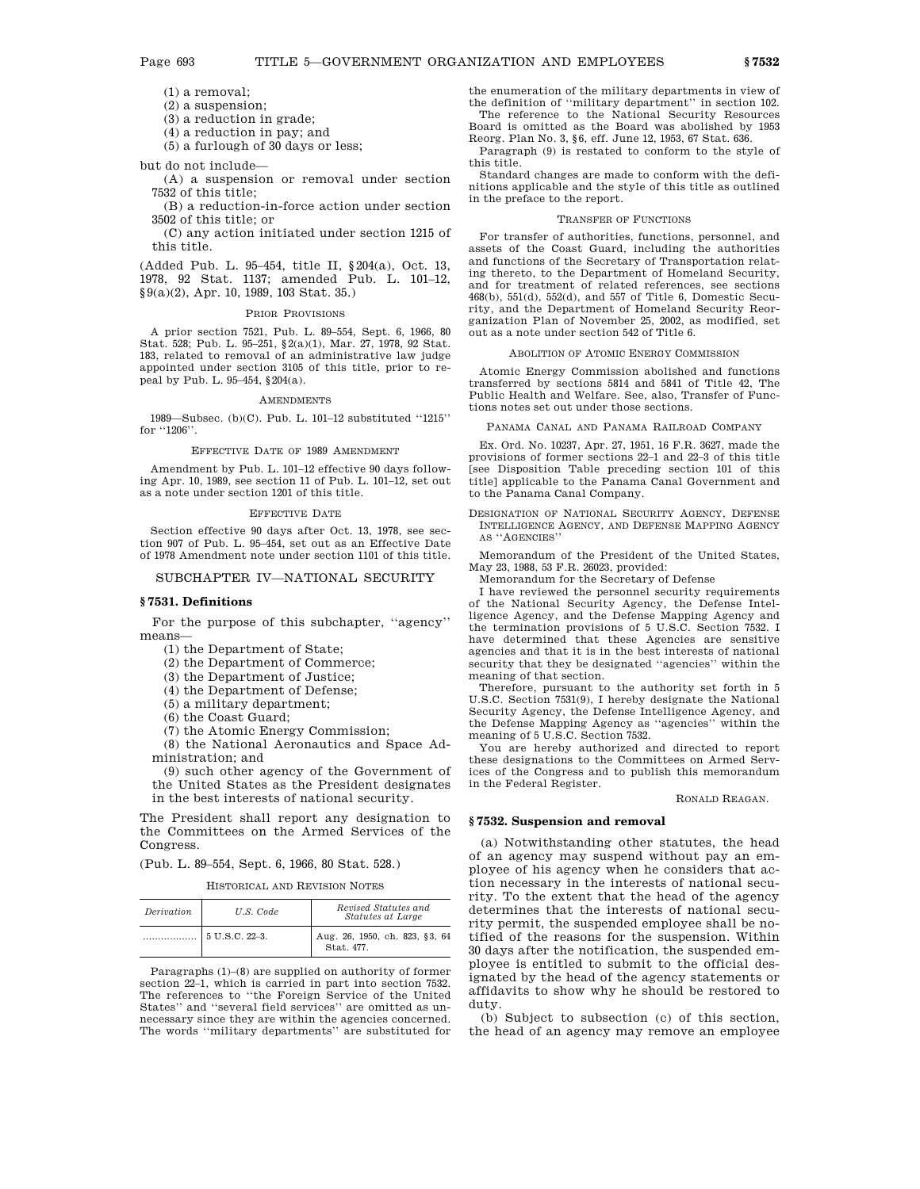(1) a removal;

(2) a suspension;

(3) a reduction in grade;

(4) a reduction in pay; and

(5) a furlough of 30 days or less;

but do not include—

(A) a suspension or removal under section 7532 of this title;

(B) a reduction-in-force action under section 3502 of this title; or

(C) any action initiated under section 1215 of this title.

(Added Pub. L. 95–454, title II, §204(a), Oct. 13, 1978, 92 Stat. 1137; amended Pub. L. 101–12, §9(a)(2), Apr. 10, 1989, 103 Stat. 35.)

## PRIOR PROVISIONS

A prior section 7521, Pub. L. 89–554, Sept. 6, 1966, 80 Stat. 528; Pub. L. 95–251, §2(a)(1), Mar. 27, 1978, 92 Stat. 183, related to removal of an administrative law judge appointed under section 3105 of this title, prior to repeal by Pub. L. 95–454, §204(a).

#### AMENDMENTS

1989—Subsec. (b)(C). Pub. L. 101–12 substituted ''1215'' for "1206".

### EFFECTIVE DATE OF 1989 AMENDMENT

Amendment by Pub. L. 101–12 effective 90 days following Apr. 10, 1989, see section 11 of Pub. L. 101–12, set out as a note under section 1201 of this title.

#### EFFECTIVE DATE

Section effective 90 days after Oct. 13, 1978, see section 907 of Pub. L. 95–454, set out as an Effective Date of 1978 Amendment note under section 1101 of this title.

## SUBCHAPTER IV—NATIONAL SECURITY

## **§ 7531. Definitions**

For the purpose of this subchapter, ''agency'' means—

(1) the Department of State;

(2) the Department of Commerce;

(3) the Department of Justice;

(4) the Department of Defense;

(5) a military department;

(6) the Coast Guard;

(7) the Atomic Energy Commission;

(8) the National Aeronautics and Space Administration; and

(9) such other agency of the Government of the United States as the President designates in the best interests of national security.

The President shall report any designation to the Committees on the Armed Services of the Congress.

# (Pub. L. 89–554, Sept. 6, 1966, 80 Stat. 528.)

### HISTORICAL AND REVISION NOTES

| Derivation | U.S. Code      | Revised Statutes and<br>Statutes at Large    |
|------------|----------------|----------------------------------------------|
|            | 5 U.S.C. 22-3. | Aug. 26, 1950, ch. 823, §3, 64<br>Stat. 477. |

Paragraphs (1)–(8) are supplied on authority of former section 22–1, which is carried in part into section 7532. The references to ''the Foreign Service of the United States'' and ''several field services'' are omitted as unnecessary since they are within the agencies concerned. The words ''military departments'' are substituted for

the enumeration of the military departments in view of the definition of ''military department'' in section 102. The reference to the National Security Resources Board is omitted as the Board was abolished by 1953 Reorg. Plan No. 3, §6, eff. June 12, 1953, 67 Stat. 636.

Paragraph (9) is restated to conform to the style of this title.

Standard changes are made to conform with the definitions applicable and the style of this title as outlined in the preface to the report.

#### TRANSFER OF FUNCTIONS

For transfer of authorities, functions, personnel, and assets of the Coast Guard, including the authorities and functions of the Secretary of Transportation relating thereto, to the Department of Homeland Security, and for treatment of related references, see sections 468(b), 551(d), 552(d), and 557 of Title 6, Domestic Security, and the Department of Homeland Security Reorganization Plan of November 25, 2002, as modified, set out as a note under section 542 of Title 6.

## ABOLITION OF ATOMIC ENERGY COMMISSION

Atomic Energy Commission abolished and functions transferred by sections 5814 and 5841 of Title 42, The Public Health and Welfare. See, also, Transfer of Functions notes set out under those sections.

PANAMA CANAL AND PANAMA RAILROAD COMPANY

Ex. Ord. No. 10237, Apr. 27, 1951, 16 F.R. 3627, made the provisions of former sections 22–1 and 22–3 of this title [see Disposition Table preceding section 101 of this title] applicable to the Panama Canal Government and to the Panama Canal Company.

DESIGNATION OF NATIONAL SECURITY AGENCY, DEFENSE INTELLIGENCE AGENCY, AND DEFENSE MAPPING AGENCY AS ''AGENCIES''

Memorandum of the President of the United States, May 23, 1988, 53 F.R. 26023, provided:

Memorandum for the Secretary of Defense

I have reviewed the personnel security requirements of the National Security Agency, the Defense Intelligence Agency, and the Defense Mapping Agency and the termination provisions of 5 U.S.C. Section 7532. I have determined that these Agencies are sensitive agencies and that it is in the best interests of national security that they be designated ''agencies'' within the meaning of that section.

Therefore, pursuant to the authority set forth in 5 U.S.C. Section 7531(9), I hereby designate the National Security Agency, the Defense Intelligence Agency, and the Defense Mapping Agency as ''agencies'' within the meaning of 5 U.S.C. Section 7532.

You are hereby authorized and directed to report these designations to the Committees on Armed Services of the Congress and to publish this memorandum in the Federal Register.

RONALD REAGAN.

### **§ 7532. Suspension and removal**

(a) Notwithstanding other statutes, the head of an agency may suspend without pay an employee of his agency when he considers that action necessary in the interests of national security. To the extent that the head of the agency determines that the interests of national security permit, the suspended employee shall be notified of the reasons for the suspension. Within 30 days after the notification, the suspended employee is entitled to submit to the official designated by the head of the agency statements or affidavits to show why he should be restored to duty.

(b) Subject to subsection (c) of this section, the head of an agency may remove an employee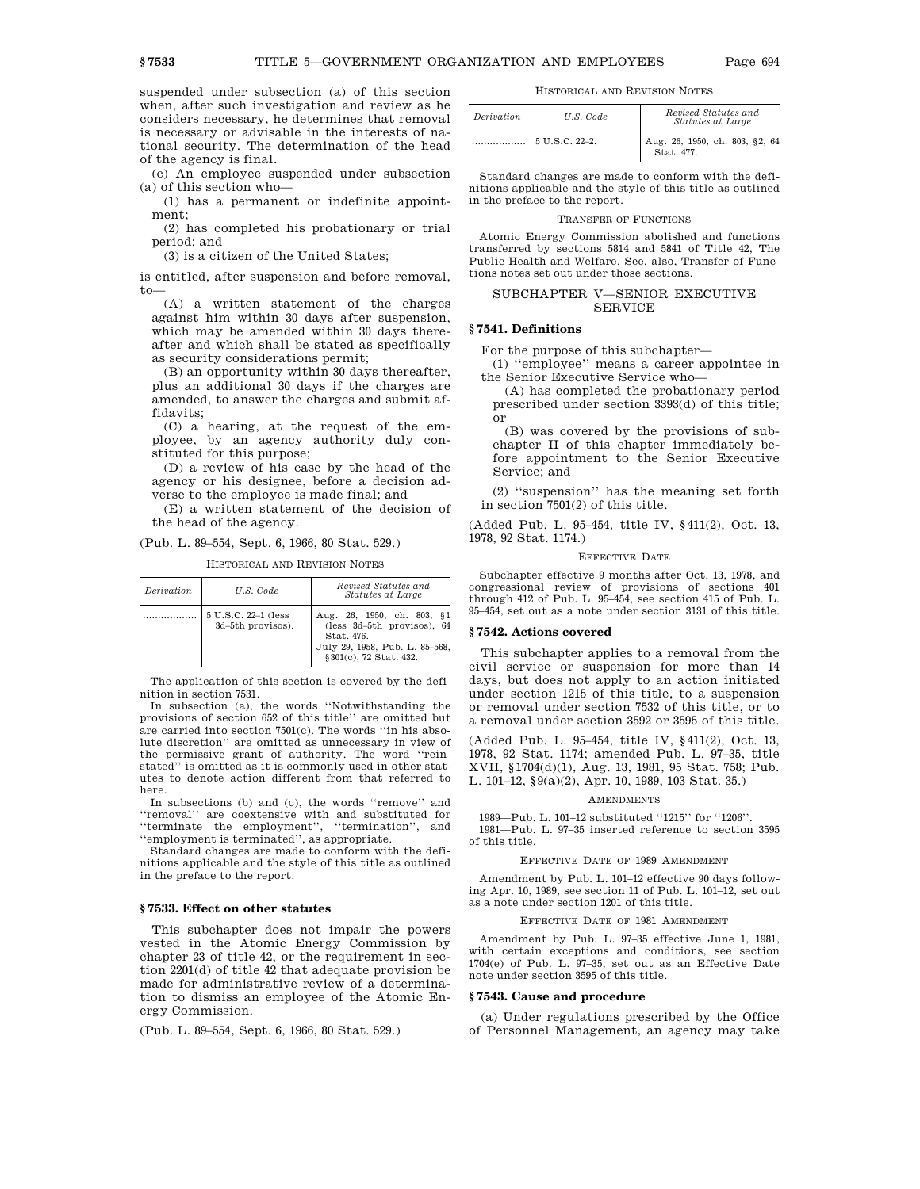suspended under subsection (a) of this section when, after such investigation and review as he considers necessary, he determines that removal is necessary or advisable in the interests of national security. The determination of the head of the agency is final.

(c) An employee suspended under subsection  $(a)$  of this section who-

(1) has a permanent or indefinite appointment;

(2) has completed his probationary or trial period; and

(3) is a citizen of the United States;

is entitled, after suspension and before removal, to—

(A) a written statement of the charges against him within 30 days after suspension, which may be amended within 30 days thereafter and which shall be stated as specifically as security considerations permit;

(B) an opportunity within 30 days thereafter, plus an additional 30 days if the charges are amended, to answer the charges and submit affidavits;

(C) a hearing, at the request of the employee, by an agency authority duly constituted for this purpose;

(D) a review of his case by the head of the agency or his designee, before a decision adverse to the employee is made final; and

(E) a written statement of the decision of the head of the agency.

# (Pub. L. 89–554, Sept. 6, 1966, 80 Stat. 529.)

HISTORICAL AND REVISION NOTES

| <i>Derivation</i> | U.S. Code                                | Revised Statutes and<br><i>Statutes at Large</i>                                                                                    |
|-------------------|------------------------------------------|-------------------------------------------------------------------------------------------------------------------------------------|
|                   | 5 U.S.C. 22-1 (less<br>3d-5th provisos). | Aug. 26, 1950, ch. 803, §1<br>(less 3d-5th provisos), 64<br>Stat. 476.<br>July 29, 1958, Pub. L. 85-568,<br>§ 301(c), 72 Stat. 432. |

The application of this section is covered by the definition in section 7531.

In subsection (a), the words ''Notwithstanding the provisions of section 652 of this title'' are omitted but are carried into section 7501(c). The words ''in his absolute discretion'' are omitted as unnecessary in view of the permissive grant of authority. The word ''reinstated'' is omitted as it is commonly used in other statutes to denote action different from that referred to here.

In subsections (b) and (c), the words ''remove'' and ''removal'' are coextensive with and substituted for ''terminate the employment'', ''termination'', and ''employment is terminated'', as appropriate.

Standard changes are made to conform with the definitions applicable and the style of this title as outlined in the preface to the report.

# **§ 7533. Effect on other statutes**

This subchapter does not impair the powers vested in the Atomic Energy Commission by chapter 23 of title 42, or the requirement in section 2201(d) of title 42 that adequate provision be made for administrative review of a determination to dismiss an employee of the Atomic Energy Commission.

(Pub. L. 89–554, Sept. 6, 1966, 80 Stat. 529.)

| Derivation | U.S. Code      | Revised Statutes and<br>Statutes at Large    |
|------------|----------------|----------------------------------------------|
|            | 5 U.S.C. 22–2. | Aug. 26, 1950, ch. 803, §2, 64<br>Stat. 477. |

Standard changes are made to conform with the definitions applicable and the style of this title as outlined in the preface to the report.

#### TRANSFER OF FUNCTIONS

Atomic Energy Commission abolished and functions transferred by sections 5814 and 5841 of Title 42, The Public Health and Welfare. See, also, Transfer of Functions notes set out under those sections.

# SUBCHAPTER V—SENIOR EXECUTIVE **SERVICE**

# **§ 7541. Definitions**

For the purpose of this subchapter—

(1) ''employee'' means a career appointee in the Senior Executive Service who—

(A) has completed the probationary period prescribed under section 3393(d) of this title; or

(B) was covered by the provisions of subchapter II of this chapter immediately before appointment to the Senior Executive Service; and

(2) ''suspension'' has the meaning set forth in section 7501(2) of this title.

(Added Pub. L. 95–454, title IV, §411(2), Oct. 13, 1978, 92 Stat. 1174.)

#### EFFECTIVE DATE

Subchapter effective 9 months after Oct. 13, 1978, and congressional review of provisions of sections 401 through 412 of Pub. L. 95–454, see section 415 of Pub. L. 95–454, set out as a note under section 3131 of this title.

## **§ 7542. Actions covered**

This subchapter applies to a removal from the civil service or suspension for more than 14 days, but does not apply to an action initiated under section 1215 of this title, to a suspension or removal under section 7532 of this title, or to a removal under section 3592 or 3595 of this title.

(Added Pub. L. 95–454, title IV, §411(2), Oct. 13, 1978, 92 Stat. 1174; amended Pub. L. 97–35, title XVII, §1704(d)(1), Aug. 13, 1981, 95 Stat. 758; Pub. L. 101–12, §9(a)(2), Apr. 10, 1989, 103 Stat. 35.)

#### **AMENDMENTS**

1989—Pub. L. 101–12 substituted ''1215'' for ''1206''. 1981—Pub. L. 97–35 inserted reference to section 3595 of this title.

#### EFFECTIVE DATE OF 1989 AMENDMENT

Amendment by Pub. L. 101–12 effective 90 days following Apr. 10, 1989, see section 11 of Pub. L. 101–12, set out as a note under section 1201 of this title.

### EFFECTIVE DATE OF 1981 AMENDMENT

Amendment by Pub. L. 97–35 effective June 1, 1981, with certain exceptions and conditions, see section 1704(e) of Pub. L. 97–35, set out as an Effective Date note under section 3595 of this title.

## **§ 7543. Cause and procedure**

(a) Under regulations prescribed by the Office of Personnel Management, an agency may take